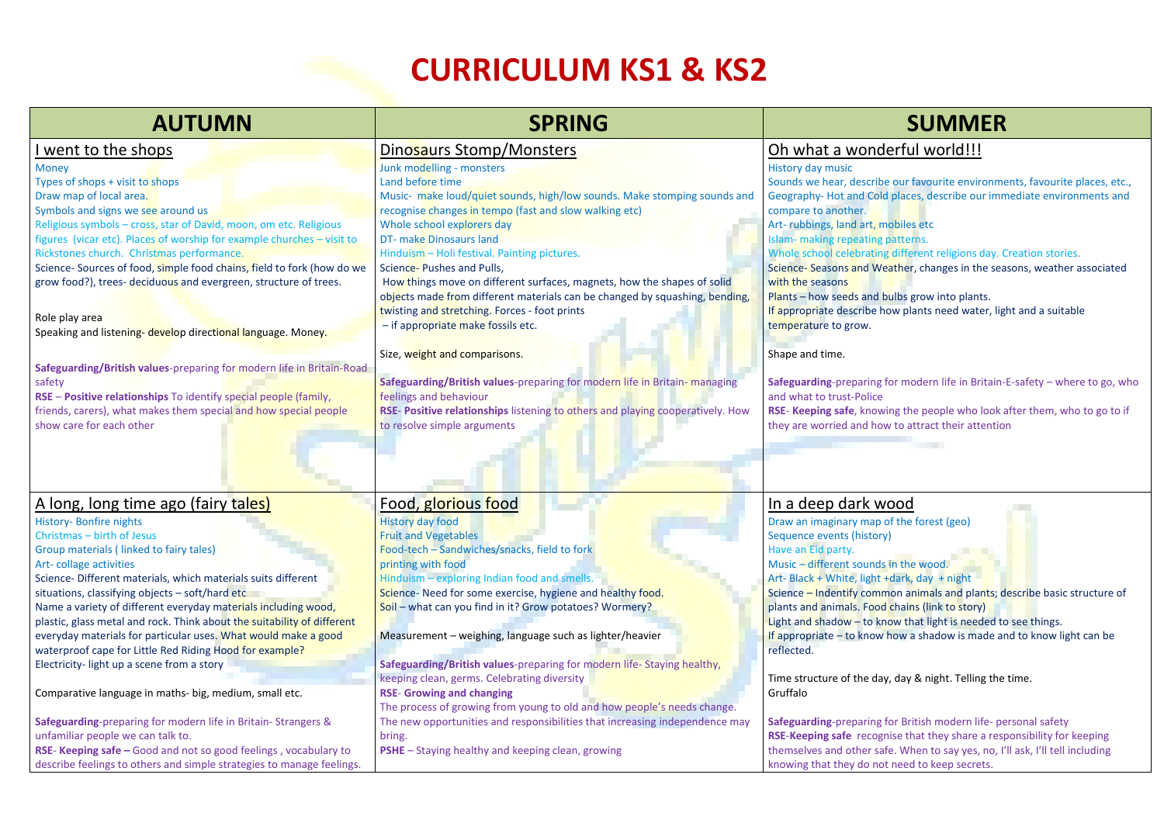# **CURRICULUM KS1 & KS2**

| <b>AUTUMN</b>                                                                  | <b>SPRING</b>                                                                  | <b>SUMMER</b>                                       |
|--------------------------------------------------------------------------------|--------------------------------------------------------------------------------|-----------------------------------------------------|
| went to the shops                                                              | Dinosaurs Stomp/Monsters                                                       | Oh what a wonderful world!!!                        |
| <b>Money</b>                                                                   | Junk modelling - monsters                                                      | <b>History day music</b>                            |
| Types of shops + visit to shops                                                | Land before time                                                               | Sounds we hear, describe our favourite environme    |
| Draw map of local area.                                                        | Music- make loud/quiet sounds, high/low sounds. Make stomping sounds and       | Geography-Hot and Cold places, describe our imn     |
| Symbols and signs we see around us                                             | recognise changes in tempo (fast and slow walking etc)                         | compare to another.                                 |
| Religious symbols - cross, star of David, moon, om etc. Religious              | Whole school explorers day                                                     | Art-rubbings, land art, mobiles etc                 |
| figures (vicar etc). Places of worship for example churches - visit to         | <b>DT-</b> make Dinosaurs land                                                 | Islam- making repeating patterns.                   |
| Rickstones church. Christmas performance.                                      | Hinduism - Holi festival. Painting pictures.                                   | Whole school celebrating different religions day. ( |
| Science- Sources of food, simple food chains, field to fork (how do we         | Science-Pushes and Pulls,                                                      | Science-Seasons and Weather, changes in the sea     |
| grow food?), trees- deciduous and evergreen, structure of trees.               | How things move on different surfaces, magnets, how the shapes of solid        | with the seasons                                    |
|                                                                                | objects made from different materials can be changed by squashing, bending,    | Plants - how seeds and bulbs grow into plants.      |
|                                                                                | twisting and stretching. Forces - foot prints                                  | If appropriate describe how plants need water, lig  |
| Role play area<br>Speaking and listening- develop directional language. Money. | - if appropriate make fossils etc.                                             | temperature to grow.                                |
|                                                                                | Size, weight and comparisons.                                                  | Shape and time.                                     |
| Safeguarding/British values-preparing for modern life in Britain-Road          |                                                                                |                                                     |
| safety                                                                         | Safeguarding/British values-preparing for modern life in Britain-managing      | Safeguarding-preparing for modern life in Britain-  |
| RSE - Positive relationships To identify special people (family,               | feelings and behaviour                                                         | and what to trust-Police                            |
| friends, carers), what makes them special and how special people               | RSE- Positive relationships listening to others and playing cooperatively. How | RSE- Keeping safe, knowing the people who look a    |
| show care for each other                                                       | to resolve simple arguments                                                    | they are worried and how to attract their attentio  |
|                                                                                |                                                                                |                                                     |
| A long, long time ago (fairy tales)                                            | Food, glorious food                                                            | In a deep dark wood                                 |
| <b>History- Bonfire nights</b>                                                 | <b>History day food</b>                                                        | Draw an imaginary map of the forest (geo)           |
| Christmas - birth of Jesus                                                     | <b>Fruit and Vegetables</b>                                                    | Sequence events (history)                           |
| Group materials (linked to fairy tales)                                        | Food-tech - Sandwiches/snacks, field to fork                                   | Have an Eid party.                                  |
| Art-collage activities                                                         | printing with food                                                             | Music - different sounds in the wood.               |
| Science- Different materials, which materials suits different                  | Hinduism - exploring Indian food and smells.                                   | Art- Black + White, light +dark, day + night        |
| situations, classifying objects - soft/hard etc                                | Science-Need for some exercise, hygiene and healthy food.                      | Science - Indentify common animals and plants; d    |
| Name a variety of different everyday materials including wood,                 | Soil - what can you find in it? Grow potatoes? Wormery?                        | plants and animals. Food chains (link to story)     |
| plastic, glass metal and rock. Think about the suitability of different        |                                                                                | Light and shadow - to know that light is needed to  |
| everyday materials for particular uses. What would make a good                 | Measurement $-$ weighing, language such as lighter/heavier                     | If appropriate - to know how a shadow is made ar    |
| waterproof cape for Little Red Riding Hood for example?                        |                                                                                | reflected.                                          |
| Electricity-light up a scene from a story                                      | Safeguarding/British values-preparing for modern life-Staying healthy,         |                                                     |
|                                                                                | keeping clean, germs. Celebrating diversity                                    | Time structure of the day, day & night. Telling the |
| Comparative language in maths- big, medium, small etc.                         | <b>RSE- Growing and changing</b>                                               | Gruffalo                                            |
|                                                                                | The process of growing from young to old and how people's needs change.        |                                                     |
| Safeguarding-preparing for modern life in Britain-Strangers &                  | The new opportunities and responsibilities that increasing independence may    | Safeguarding-preparing for British modern life- pe  |
| unfamiliar people we can talk to.                                              | bring.                                                                         | RSE-Keeping safe recognise that they share a resp   |
| RSE- Keeping safe - Good and not so good feelings, vocabulary to               | <b>PSHE</b> – Staying healthy and keeping clean, growing                       | themselves and other safe. When to say yes, no, I'  |
| describe feelings to others and simple strategies to manage feelings.          |                                                                                | knowing that they do not need to keep secrets.      |

# derful world!!!

Sounds we hear-tear our favourite places, etc., present controlled and the our favourite. Id places, describe our immediate environments and mobiles etc patterns. g different religions day. Creation stories. /eather, changes in the seasons, weather associated bulbs grow into plants. how plants need water, light and a suitable for modern life in Britain-E-safety – where to go, who **R** wing the people who look after them, who to go to if they to attract their attention<br>
their attention wood of the forest (geo)

Is in the wood. +dark, day + night mon animals and plants; describe basic structure of d chains (link to story) Inow that light is needed to see things. If also how a shadow is made and to know light can be

ay, day & night. Telling the time.

for British modern life- personal safety **RSE**-**Keeping safe** recognise that they share a responsibility for keeping afe. When to say yes, no, I'll ask, I'll tell including knowing that they do not need to keep secrets.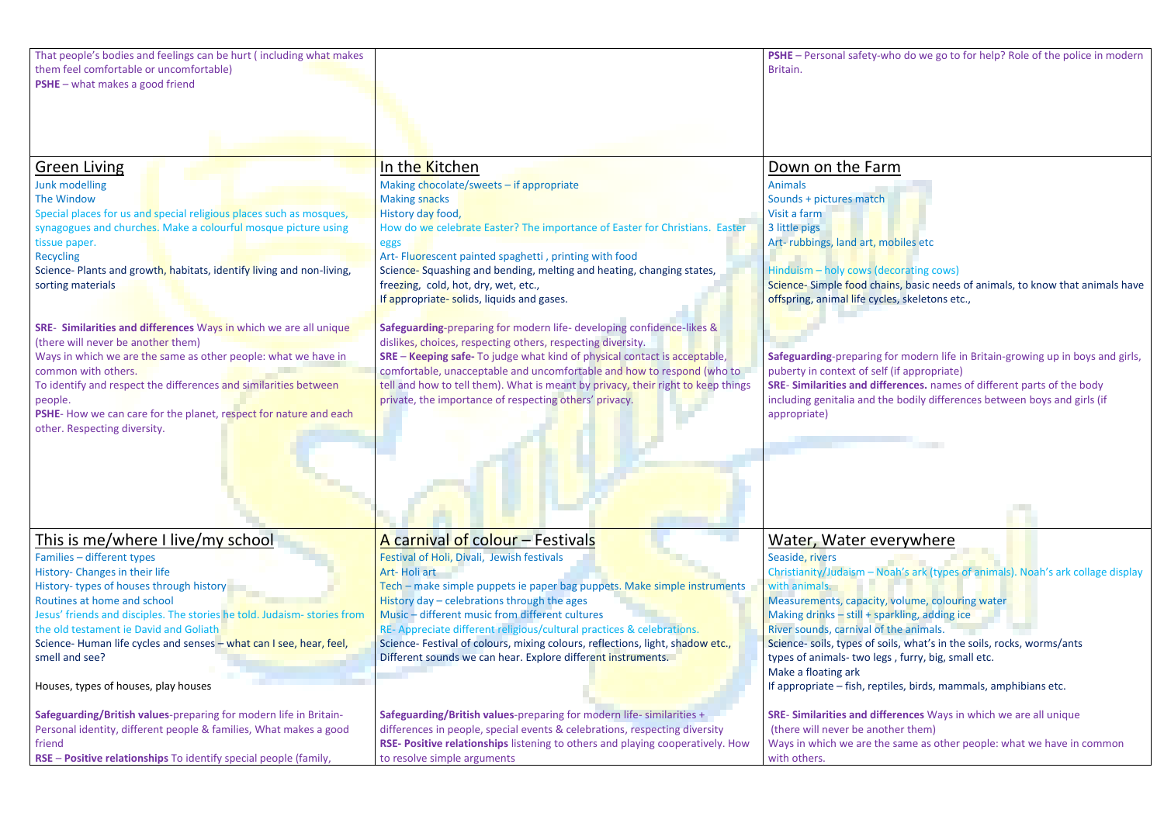| Down on the Farm                                                                                                                                                                                                                                                                                       |  |  |  |  |
|--------------------------------------------------------------------------------------------------------------------------------------------------------------------------------------------------------------------------------------------------------------------------------------------------------|--|--|--|--|
| <b>Animals</b><br>Sounds + pictures match<br>Visit a farm<br>3 little pigs<br>Art-rubbings, land art, mobiles etc<br>Hinduism - holy cows (decorating cows)                                                                                                                                            |  |  |  |  |
| Science-Simple food chains, basic needs of animals, to know that animals have<br>offspring, animal life cycles, skeletons etc.,                                                                                                                                                                        |  |  |  |  |
| Safeguarding-preparing for modern life in Britain-growing up in boys and girls,<br>puberty in context of self (if appropriate)<br>SRE- Similarities and differences. names of different parts of the body<br>including genitalia and the bodily differences between boys and girls (if<br>appropriate) |  |  |  |  |
|                                                                                                                                                                                                                                                                                                        |  |  |  |  |
|                                                                                                                                                                                                                                                                                                        |  |  |  |  |
|                                                                                                                                                                                                                                                                                                        |  |  |  |  |
|                                                                                                                                                                                                                                                                                                        |  |  |  |  |
| Water, Water everywhere                                                                                                                                                                                                                                                                                |  |  |  |  |
| Seaside, rivers<br>Christianity/Judaism - Noah's ark (types of animals). Noah's ark collage display<br>with animals.<br>Measurements, capacity, volume, colouring water<br>Making drinks - still + sparkling, adding ice<br>River sounds, carnival of the animals.                                     |  |  |  |  |
| Science- soils, types of soils, what's in the soils, rocks, worms/ants                                                                                                                                                                                                                                 |  |  |  |  |
| types of animals-two legs, furry, big, small etc.<br>Make a floating ark<br>If appropriate – fish, reptiles, birds, mammals, amphibians etc.                                                                                                                                                           |  |  |  |  |
|                                                                                                                                                                                                                                                                                                        |  |  |  |  |
| SRE- Similarities and differences Ways in which we are all unique<br>(there will never be another them)                                                                                                                                                                                                |  |  |  |  |
| Ways in which we are the same as other people: what we have in common<br>with others.                                                                                                                                                                                                                  |  |  |  |  |
|                                                                                                                                                                                                                                                                                                        |  |  |  |  |

| That people's bodies and feelings can be hurt (including what makes<br>them feel comfortable or uncomfortable)<br><b>PSHE</b> - what makes a good friend                                                                                                                                                                                                                                                                                                                                                                                                                                                                                                                                                               |                                                                                                                                                                                                                                                                                                                                                                                                                                                                                                                                                                                                                                                                                                                                                                                                                                                                           | PSHE - Personal safety-who do we go to fo<br>Britain.                                                                                                                                                                                                                                                                                                                                                                                                                                           |
|------------------------------------------------------------------------------------------------------------------------------------------------------------------------------------------------------------------------------------------------------------------------------------------------------------------------------------------------------------------------------------------------------------------------------------------------------------------------------------------------------------------------------------------------------------------------------------------------------------------------------------------------------------------------------------------------------------------------|---------------------------------------------------------------------------------------------------------------------------------------------------------------------------------------------------------------------------------------------------------------------------------------------------------------------------------------------------------------------------------------------------------------------------------------------------------------------------------------------------------------------------------------------------------------------------------------------------------------------------------------------------------------------------------------------------------------------------------------------------------------------------------------------------------------------------------------------------------------------------|-------------------------------------------------------------------------------------------------------------------------------------------------------------------------------------------------------------------------------------------------------------------------------------------------------------------------------------------------------------------------------------------------------------------------------------------------------------------------------------------------|
| <b>Green Living</b><br>Junk modelling<br>The Window<br>Special places for us and special religious places such as mosques,<br>synagogues and churches. Make a colourful mosque picture using<br>tissue paper.<br><b>Recycling</b><br>Science- Plants and growth, habitats, identify living and non-living,<br>sorting materials<br>SRE- Similarities and differences Ways in which we are all unique<br>(there will never be another them)<br>Ways in which we are the same as other people: what we have in<br>common with others.<br>To identify and respect the differences and similarities between<br>people.<br>PSHE-How we can care for the planet, respect for nature and each<br>other. Respecting diversity. | In the Kitchen<br>Making chocolate/sweets - if appropriate<br><b>Making snacks</b><br>History day food,<br>How do we celebrate Easter? The importance of Easter for Christians. Easter<br>eggs<br>Art- Fluorescent painted spaghetti, printing with food<br>Science-Squashing and bending, melting and heating, changing states,<br>freezing, cold, hot, dry, wet, etc.,<br>If appropriate-solids, liquids and gases.<br>Safeguarding-preparing for modern life- developing confidence-likes &<br>dislikes, choices, respecting others, respecting diversity.<br><b>SRE - Keeping safe-</b> To judge what kind of physical contact is acceptable,<br>comfortable, unacceptable and uncomfortable and how to respond (who to<br>tell and how to tell them). What is meant by privacy, their right to keep things<br>private, the importance of respecting others' privacy. | Down on the Farm<br><b>Animals</b><br>Sounds + pictures match<br>Visit a farm<br>3 little pigs<br>Art-rubbings, land art, mobiles etc<br>Hinduism – holy cows (decorating cows)<br>Science-Simple food chains, basic needs o<br>offspring, animal life cycles, skeletons etc.,<br>Safeguarding-preparing for modern life in<br>puberty in context of self (if appropriate)<br><b>SRE- Similarities and differences.</b> names o<br>including genitalia and the bodily differend<br>appropriate) |
| <u>This is me/where I live/my school</u><br>Families - different types<br>History- Changes in their life<br>History-types of houses through history<br>Routines at home and school<br>Jesus' friends and disciples. The stories he told. Judaism-stories from<br>the old testament ie David and Goliath<br>Science-Human life cycles and senses - what can I see, hear, feel,<br>smell and see?<br>Houses, types of houses, play houses                                                                                                                                                                                                                                                                                | A carnival of colour – Festivals<br>Festival of Holi, Divali, Jewish festivals<br>Art-Holi art<br>Tech – make simple puppets ie paper bag puppets. Make simple instruments<br>History day - celebrations through the ages<br>Music - different music from different cultures<br>RE-Appreciate different religious/cultural practices & celebrations.<br>Science- Festival of colours, mixing colours, reflections, light, shadow etc.,<br>Different sounds we can hear. Explore different instruments.                                                                                                                                                                                                                                                                                                                                                                    | Water, Water everywhere<br>Seaside, rivers<br>Christianity/Judaism - Noah's ark (types of<br>with animals.<br>Measurements, capacity, volume, colourin<br>Making drinks - still + sparkling, adding ice<br>River sounds, carnival of the animals.<br>Science- soils, types of soils, what's in the s<br>types of animals-two legs, furry, big, smal<br>Make a floating ark<br>If appropriate - fish, reptiles, birds, mamm                                                                      |
| Safeguarding/British values-preparing for modern life in Britain-<br>Personal identity, different people & families, What makes a good<br>friend<br>RSE - Positive relationships To identify special people (family,                                                                                                                                                                                                                                                                                                                                                                                                                                                                                                   | Safeguarding/British values-preparing for modern life- similarities +<br>differences in people, special events & celebrations, respecting diversity<br>RSE- Positive relationships listening to others and playing cooperatively. How<br>to resolve simple arguments                                                                                                                                                                                                                                                                                                                                                                                                                                                                                                                                                                                                      | <b>SRE- Similarities and differences Ways in \</b><br>(there will never be another them)<br>Ways in which we are the same as other po<br>with others.                                                                                                                                                                                                                                                                                                                                           |

-who do we go to for help? Role of the police in modern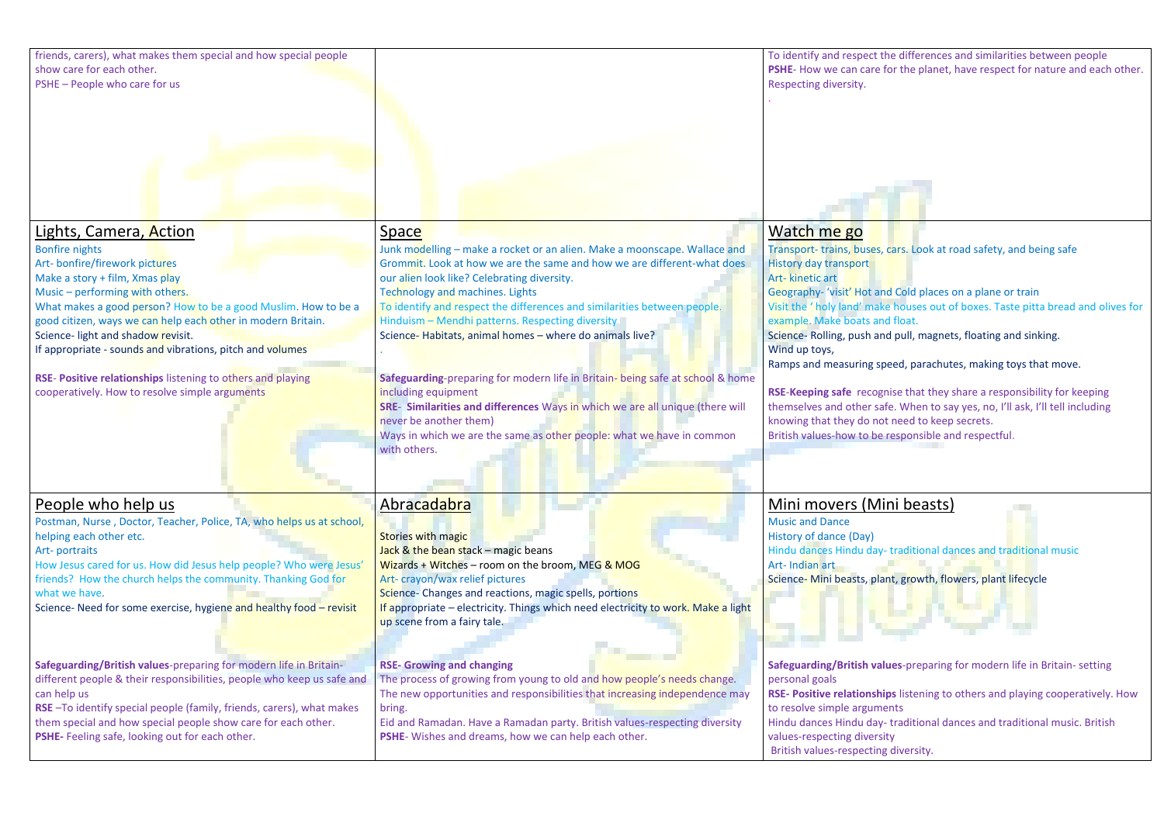| friends, carers), what makes them special and how special people<br>show care for each other.<br>PSHE - People who care for us                                                                                                                                                                                                                                                                                                                                                                               |                                                                                                                                                                                                                                                                                                                                                                                                                                                                                                                                                                                                                                                                                                                                                                | To identify and respect the<br>PSHE- How we can care for<br>Respecting diversity.                                                                                                                                                                                                                                                                                                           |
|--------------------------------------------------------------------------------------------------------------------------------------------------------------------------------------------------------------------------------------------------------------------------------------------------------------------------------------------------------------------------------------------------------------------------------------------------------------------------------------------------------------|----------------------------------------------------------------------------------------------------------------------------------------------------------------------------------------------------------------------------------------------------------------------------------------------------------------------------------------------------------------------------------------------------------------------------------------------------------------------------------------------------------------------------------------------------------------------------------------------------------------------------------------------------------------------------------------------------------------------------------------------------------------|---------------------------------------------------------------------------------------------------------------------------------------------------------------------------------------------------------------------------------------------------------------------------------------------------------------------------------------------------------------------------------------------|
| Lights, Camera, Action<br><b>Bonfire nights</b><br>Art- bonfire/firework pictures<br>Make a story + film, Xmas play<br>Music - performing with others.<br>What makes a good person? How to be a good Muslim. How to be a<br>good citizen, ways we can help each other in modern Britain.<br>Science- light and shadow revisit.<br>If appropriate - sounds and vibrations, pitch and volumes<br>RSE- Positive relationships listening to others and playing<br>cooperatively. How to resolve simple arguments | Space<br>Junk modelling - make a rocket or an alien. Make a moonscape. Wallace and<br>Grommit. Look at how we are the same and how we are different-what does<br>our alien look like? Celebrating diversity.<br><b>Technology and machines. Lights</b><br>To identify and respect the differences and similarities between people.<br>Hinduism - Mendhi patterns. Respecting diversity<br>Science-Habitats, animal homes - where do animals live?<br>Safeguarding-preparing for modern life in Britain- being safe at school & home<br>including equipment<br>SRE- Similarities and differences Ways in which we are all unique (there will<br>never be another them)<br>Ways in which we are the same as other people: what we have in common<br>with others. | Watch me go<br>Transport-trains, buses, ca<br><b>History day transport</b><br>Art-kinetic art<br>Geography- 'visit' Hot and<br>Visit the 'holy land' make<br>example. Make boats and<br>Science-Rolling, push and<br>Wind up toys,<br>Ramps and measuring spe<br><b>RSE-Keeping safe recognis</b><br>themselves and other safe<br>knowing that they do not r<br>British values-how to be re |
| People who help us<br>Postman, Nurse, Doctor, Teacher, Police, TA, who helps us at school,<br>helping each other etc.<br>Art-portraits<br>How Jesus cared for us. How did Jesus help people? Who were Jesus'<br>friends? How the church helps the community. Thanking God for<br>what we have.<br>Science- Need for some exercise, hygiene and healthy food - revisit                                                                                                                                        | Abracadabra<br><b>Stories with magic</b><br>Jack & the bean stack - magic beans<br>Wizards + Witches - room on the broom, MEG & MOG<br>Art-crayon/wax relief pictures<br>Science- Changes and reactions, magic spells, portions<br>If appropriate – electricity. Things which need electricity to work. Make a light<br>up scene from a fairy tale.                                                                                                                                                                                                                                                                                                                                                                                                            | Mini movers (Min<br><b>Music and Dance</b><br>History of dance (Day)<br>Hindu dances Hindu day-t<br>Art-Indian art<br>Science- Mini beasts, plant                                                                                                                                                                                                                                           |
| Safeguarding/British values-preparing for modern life in Britain-<br>different people & their responsibilities, people who keep us safe and<br>can help us<br>RSE-To identify special people (family, friends, carers), what makes<br>them special and how special people show care for each other.<br>PSHE- Feeling safe, looking out for each other.                                                                                                                                                       | <b>RSE- Growing and changing</b><br>The process of growing from young to old and how people's needs change.<br>The new opportunities and responsibilities that increasing independence may<br>bring.<br>Eid and Ramadan. Have a Ramadan party. British values-respecting diversity<br>PSHE- Wishes and dreams, how we can help each other.                                                                                                                                                                                                                                                                                                                                                                                                                     | <b>Safeguarding/British value</b><br>personal goals<br><b>RSE- Positive relationships</b><br>to resolve simple argumen<br>Hindu dances Hindu day-t<br>values-respecting diversity<br><b>British values-respecting o</b>                                                                                                                                                                     |

the differences and similarities between people for the planet, have respect for nature and each other.